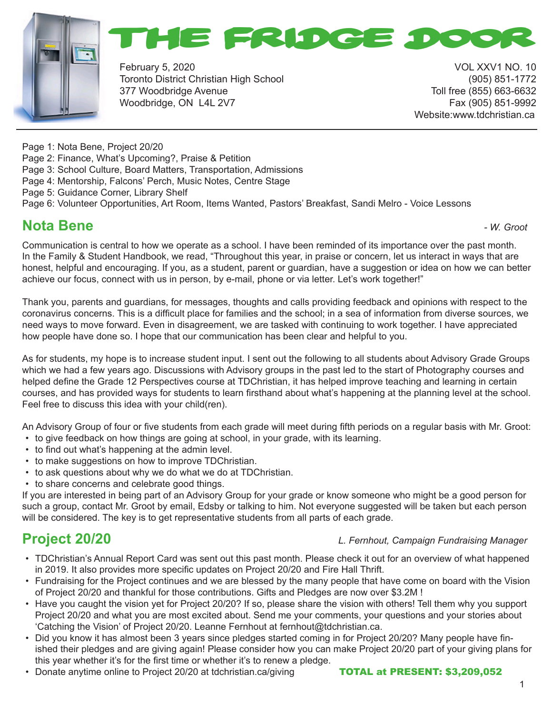



February 5, 2020 VOL XXV1 NO. 10 Toronto District Christian High School (905) 851-1772 377 Woodbridge Avenue Toll free (855) 663-6632 Woodbridge, ON L4L 2V7 Fax (905) 851-9992

Website:www.tdchristian.ca

Page 1: Nota Bene, Project 20/20

- Page 2: Finance, What's Upcoming?, Praise & Petition
- Page 3: School Culture, Board Matters, Transportation, Admissions
- Page 4: Mentorship, Falcons' Perch, Music Notes, Centre Stage
- Page 5: Guidance Corner, Library Shelf
- Page 6: Volunteer Opportunities, Art Room, Items Wanted, Pastors' Breakfast, Sandi Melro Voice Lessons

### **Nota Bene Nota Bene** *- W. Groot*

Communication is central to how we operate as a school. I have been reminded of its importance over the past month. In the Family & Student Handbook, we read, "Throughout this year, in praise or concern, let us interact in ways that are honest, helpful and encouraging. If you, as a student, parent or guardian, have a suggestion or idea on how we can better achieve our focus, connect with us in person, by e-mail, phone or via letter. Let's work together!"

Thank you, parents and guardians, for messages, thoughts and calls providing feedback and opinions with respect to the coronavirus concerns. This is a difficult place for families and the school; in a sea of information from diverse sources, we need ways to move forward. Even in disagreement, we are tasked with continuing to work together. I have appreciated how people have done so. I hope that our communication has been clear and helpful to you.

As for students, my hope is to increase student input. I sent out the following to all students about Advisory Grade Groups which we had a few years ago. Discussions with Advisory groups in the past led to the start of Photography courses and helped define the Grade 12 Perspectives course at TDChristian, it has helped improve teaching and learning in certain courses, and has provided ways for students to learn firsthand about what's happening at the planning level at the school. Feel free to discuss this idea with your child(ren).

An Advisory Group of four or five students from each grade will meet during fifth periods on a regular basis with Mr. Groot:

- to give feedback on how things are going at school, in your grade, with its learning.
- to find out what's happening at the admin level.
- to make suggestions on how to improve TDChristian.
- to ask questions about why we do what we do at TDChristian.
- to share concerns and celebrate good things.

If you are interested in being part of an Advisory Group for your grade or know someone who might be a good person for such a group, contact Mr. Groot by email, Edsby or talking to him. Not everyone suggested will be taken but each person will be considered. The key is to get representative students from all parts of each grade.

## **Project 20/20** *L. Fernhout, Campaign Fundraising Manager*

- TDChristian's Annual Report Card was sent out this past month. Please check it out for an overview of what happened in 2019. It also provides more specific updates on Project 20/20 and Fire Hall Thrift.
- Fundraising for the Project continues and we are blessed by the many people that have come on board with the Vision of Project 20/20 and thankful for those contributions. Gifts and Pledges are now over \$3.2M !
- Have you caught the vision yet for Project 20/20? If so, please share the vision with others! Tell them why you support Project 20/20 and what you are most excited about. Send me your comments, your questions and your stories about 'Catching the Vision' of Project 20/20. Leanne Fernhout at fernhout@tdchristian.ca.
- Did you know it has almost been 3 years since pledges started coming in for Project 20/20? Many people have finished their pledges and are giving again! Please consider how you can make Project 20/20 part of your giving plans for this year whether it's for the first time or whether it's to renew a pledge.
- Donate anytime online to Project 20/20 at tdchristian.ca/giving **TOTAL at PRESENT: \$3,209,052**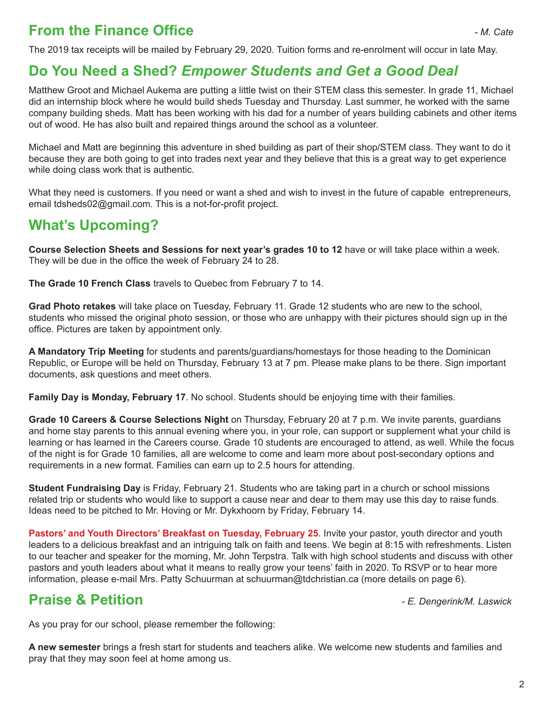# **From the Finance Office**  *Cate Cate*

The 2019 tax receipts will be mailed by February 29, 2020. Tuition forms and re-enrolment will occur in late May.

## **Do You Need a Shed?** *Empower Students and Get a Good Deal*

Matthew Groot and Michael Aukema are putting a little twist on their STEM class this semester. In grade 11, Michael did an internship block where he would build sheds Tuesday and Thursday. Last summer, he worked with the same company building sheds. Matt has been working with his dad for a number of years building cabinets and other items out of wood. He has also built and repaired things around the school as a volunteer.

Michael and Matt are beginning this adventure in shed building as part of their shop/STEM class. They want to do it because they are both going to get into trades next year and they believe that this is a great way to get experience while doing class work that is authentic.

What they need is customers. If you need or want a shed and wish to invest in the future of capable entrepreneurs, email tdsheds02@gmail.com. This is a not-for-profit project.

# **What's Upcoming?**

**Course Selection Sheets and Sessions for next year's grades 10 to 12** have or will take place within a week. They will be due in the office the week of February 24 to 28.

**The Grade 10 French Class** travels to Quebec from February 7 to 14.

**Grad Photo retakes** will take place on Tuesday, February 11. Grade 12 students who are new to the school, students who missed the original photo session, or those who are unhappy with their pictures should sign up in the office. Pictures are taken by appointment only.

**A Mandatory Trip Meeting** for students and parents/guardians/homestays for those heading to the Dominican Republic, or Europe will be held on Thursday, February 13 at 7 pm. Please make plans to be there. Sign important documents, ask questions and meet others.

**Family Day is Monday, February 17**. No school. Students should be enjoying time with their families.

**Grade 10 Careers & Course Selections Night** on Thursday, February 20 at 7 p.m. We invite parents, guardians and home stay parents to this annual evening where you, in your role, can support or supplement what your child is learning or has learned in the Careers course. Grade 10 students are encouraged to attend, as well. While the focus of the night is for Grade 10 families, all are welcome to come and learn more about post-secondary options and requirements in a new format. Families can earn up to 2.5 hours for attending.

**Student Fundraising Day** is Friday, February 21. Students who are taking part in a church or school missions related trip or students who would like to support a cause near and dear to them may use this day to raise funds. Ideas need to be pitched to Mr. Hoving or Mr. Dykxhoorn by Friday, February 14.

**Pastors' and Youth Directors' Breakfast on Tuesday, February 25**. Invite your pastor, youth director and youth leaders to a delicious breakfast and an intriguing talk on faith and teens. We begin at 8:15 with refreshments. Listen to our teacher and speaker for the morning, Mr. John Terpstra. Talk with high school students and discuss with other pastors and youth leaders about what it means to really grow your teens' faith in 2020. To RSVP or to hear more information, please e-mail Mrs. Patty Schuurman at schuurman@tdchristian.ca (more details on page 6).

## **Praise & Petition** *- E. Dengerink/M. Laswick*

As you pray for our school, please remember the following:

**A new semester** brings a fresh start for students and teachers alike. We welcome new students and families and pray that they may soon feel at home among us.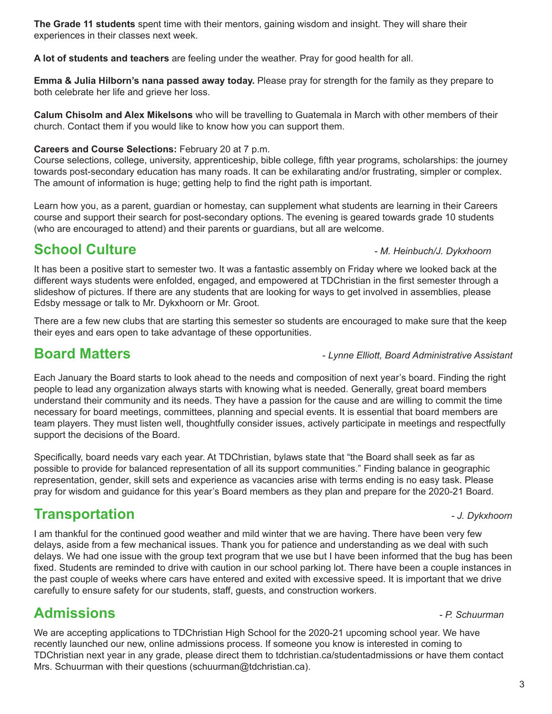3

We are accepting applications to TDChristian High School for the 2020-21 upcoming school year. We have recently launched our new, online admissions process. If someone you know is interested in coming to TDChristian next year in any grade, please direct them to tdchristian.ca/studentadmissions or have them contact Mrs. Schuurman with their questions (schuurman@tdchristian.ca).

# **Admissions** *- P. Schuurman*

**Transportation** *- J. Dykxhoorn* I am thankful for the continued good weather and mild winter that we are having. There have been very few delays, aside from a few mechanical issues. Thank you for patience and understanding as we deal with such delays. We had one issue with the group text program that we use but I have been informed that the bug has been fixed. Students are reminded to drive with caution in our school parking lot. There have been a couple instances in the past couple of weeks where cars have entered and exited with excessive speed. It is important that we drive carefully to ensure safety for our students, staff, guests, and construction workers.

possible to provide for balanced representation of all its support communities." Finding balance in geographic representation, gender, skill sets and experience as vacancies arise with terms ending is no easy task. Please pray for wisdom and guidance for this year's Board members as they plan and prepare for the 2020-21 Board.

Specifically, board needs vary each year. At TDChristian, bylaws state that "the Board shall seek as far as

Each January the Board starts to look ahead to the needs and composition of next year's board. Finding the right people to lead any organization always starts with knowing what is needed. Generally, great board members understand their community and its needs. They have a passion for the cause and are willing to commit the time necessary for board meetings, committees, planning and special events. It is essential that board members are team players. They must listen well, thoughtfully consider issues, actively participate in meetings and respectfully support the decisions of the Board.

It has been a positive start to semester two. It was a fantastic assembly on Friday where we looked back at the different ways students were enfolded, engaged, and empowered at TDChristian in the first semester through a slideshow of pictures. If there are any students that are looking for ways to get involved in assemblies, please Edsby message or talk to Mr. Dykxhoorn or Mr. Groot.

There are a few new clubs that are starting this semester so students are encouraged to make sure that the keep

Learn how you, as a parent, guardian or homestay, can supplement what students are learning in their Careers (who are encouraged to attend) and their parents or guardians, but all are welcome.

### **Careers and Course Selections:** February 20 at 7 p.m.

their eyes and ears open to take advantage of these opportunities.

Course selections, college, university, apprenticeship, bible college, fifth year programs, scholarships: the journey towards post-secondary education has many roads. It can be exhilarating and/or frustrating, simpler or complex. The amount of information is huge; getting help to find the right path is important.

course and support their search for post-secondary options. The evening is geared towards grade 10 students

### **The Grade 11 students** spent time with their mentors, gaining wisdom and insight. They will share their experiences in their classes next week.

**A lot of students and teachers** are feeling under the weather. Pray for good health for all.

**Emma & Julia Hilborn's nana passed away today.** Please pray for strength for the family as they prepare to both celebrate her life and grieve her loss.

**Calum Chisolm and Alex Mikelsons** who will be travelling to Guatemala in March with other members of their church. Contact them if you would like to know how you can support them.

# **School Culture** *Culture <b>School* Culture *Participally <i>M. Heinbuch/J. Dykxhoorn*

### **Board Matters** - *Lynne Elliott, Board Administrative Assistant*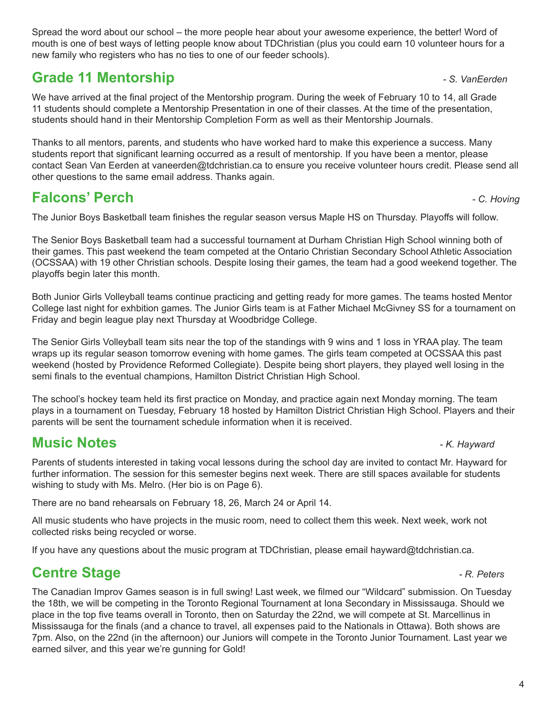4

Spread the word about our school – the more people hear about your awesome experience, the better! Word of mouth is one of best ways of letting people know about TDChristian (plus you could earn 10 volunteer hours for a new family who registers who has no ties to one of our feeder schools).

# **Grade 11 Mentorship** *Grade 11 Mentorship**and the set of the set of the set of the set of the set of the set of the set of the set of the set of the set of the set of the set of the set of the set of the set of the set*

We have arrived at the final project of the Mentorship program. During the week of February 10 to 14, all Grade 11 students should complete a Mentorship Presentation in one of their classes. At the time of the presentation, students should hand in their Mentorship Completion Form as well as their Mentorship Journals.

Thanks to all mentors, parents, and students who have worked hard to make this experience a success. Many students report that significant learning occurred as a result of mentorship. If you have been a mentor, please contact Sean Van Eerden at vaneerden@tdchristian.ca to ensure you receive volunteer hours credit. Please send all other questions to the same email address. Thanks again.

# **Falcons' Perch** *- C. Hoving*

The Junior Boys Basketball team finishes the regular season versus Maple HS on Thursday. Playoffs will follow.

The Senior Boys Basketball team had a successful tournament at Durham Christian High School winning both of their games. This past weekend the team competed at the Ontario Christian Secondary School Athletic Association (OCSSAA) with 19 other Christian schools. Despite losing their games, the team had a good weekend together. The playoffs begin later this month.

Both Junior Girls Volleyball teams continue practicing and getting ready for more games. The teams hosted Mentor College last night for exhbition games. The Junior Girls team is at Father Michael McGivney SS for a tournament on Friday and begin league play next Thursday at Woodbridge College.

The Senior Girls Volleyball team sits near the top of the standings with 9 wins and 1 loss in YRAA play. The team wraps up its regular season tomorrow evening with home games. The girls team competed at OCSSAA this past weekend (hosted by Providence Reformed Collegiate). Despite being short players, they played well losing in the semi finals to the eventual champions, Hamilton District Christian High School.

The school's hockey team held its first practice on Monday, and practice again next Monday morning. The team plays in a tournament on Tuesday, February 18 hosted by Hamilton District Christian High School. Players and their parents will be sent the tournament schedule information when it is received.

# **Music Notes** *- K. Hayward*

Parents of students interested in taking vocal lessons during the school day are invited to contact Mr. Hayward for further information. The session for this semester begins next week. There are still spaces available for students wishing to study with Ms. Melro. (Her bio is on Page 6).

There are no band rehearsals on February 18, 26, March 24 or April 14.

All music students who have projects in the music room, need to collect them this week. Next week, work not collected risks being recycled or worse.

If you have any questions about the music program at TDChristian, please email hayward@tdchristian.ca.

# **Centre Stage** *Centre Stage PR. Peters*

The Canadian Improv Games season is in full swing! Last week, we filmed our "Wildcard" submission. On Tuesday the 18th, we will be competing in the Toronto Regional Tournament at Iona Secondary in Mississauga. Should we place in the top five teams overall in Toronto, then on Saturday the 22nd, we will compete at St. Marcellinus in Mississauga for the finals (and a chance to travel, all expenses paid to the Nationals in Ottawa). Both shows are 7pm. Also, on the 22nd (in the afternoon) our Juniors will compete in the Toronto Junior Tournament. Last year we earned silver, and this year we're gunning for Gold!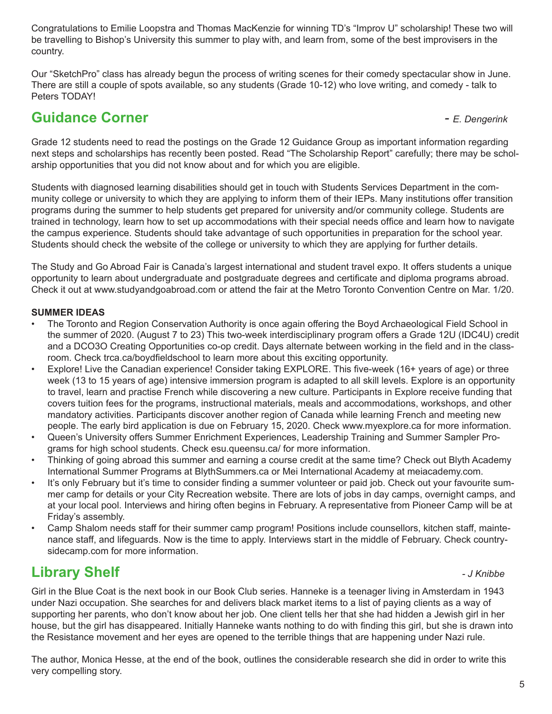Congratulations to Emilie Loopstra and Thomas MacKenzie for winning TD's "Improv U" scholarship! These two will be travelling to Bishop's University this summer to play with, and learn from, some of the best improvisers in the country.

Our "SketchPro" class has already begun the process of writing scenes for their comedy spectacular show in June. There are still a couple of spots available, so any students (Grade 10-12) who love writing, and comedy - talk to Peters TODAY!

## **Guidance Corner** *- E. Dengerink*

Grade 12 students need to read the postings on the Grade 12 Guidance Group as important information regarding next steps and scholarships has recently been posted. Read "The Scholarship Report" carefully; there may be scholarship opportunities that you did not know about and for which you are eligible.

Students with diagnosed learning disabilities should get in touch with Students Services Department in the community college or university to which they are applying to inform them of their IEPs. Many institutions offer transition programs during the summer to help students get prepared for university and/or community college. Students are trained in technology, learn how to set up accommodations with their special needs office and learn how to navigate the campus experience. Students should take advantage of such opportunities in preparation for the school year. Students should check the website of the college or university to which they are applying for further details.

The Study and Go Abroad Fair is Canada's largest international and student travel expo. It offers students a unique opportunity to learn about undergraduate and postgraduate degrees and certificate and diploma programs abroad. Check it out at www.studyandgoabroad.com or attend the fair at the Metro Toronto Convention Centre on Mar. 1/20.

### **SUMMER IDEAS**

- The Toronto and Region Conservation Authority is once again offering the Boyd Archaeological Field School in the summer of 2020. (August 7 to 23) This two-week interdisciplinary program offers a Grade 12U (IDC4U) credit and a DCO3O Creating Opportunities co-op credit. Days alternate between working in the field and in the classroom. Check trca.ca/boydfieldschool to learn more about this exciting opportunity.
- Explore! Live the Canadian experience! Consider taking EXPLORE. This five-week (16+ years of age) or three week (13 to 15 years of age) intensive immersion program is adapted to all skill levels. Explore is an opportunity to travel, learn and practise French while discovering a new culture. Participants in Explore receive funding that covers tuition fees for the programs, instructional materials, meals and accommodations, workshops, and other mandatory activities. Participants discover another region of Canada while learning French and meeting new people. The early bird application is due on February 15, 2020. Check www.myexplore.ca for more information.
- Queen's University offers Summer Enrichment Experiences, Leadership Training and Summer Sampler Programs for high school students. Check esu.queensu.ca/ for more information.
- Thinking of going abroad this summer and earning a course credit at the same time? Check out Blyth Academy International Summer Programs at BlythSummers.ca or Mei International Academy at meiacademy.com.
- It's only February but it's time to consider finding a summer volunteer or paid job. Check out your favourite summer camp for details or your City Recreation website. There are lots of jobs in day camps, overnight camps, and at your local pool. Interviews and hiring often begins in February. A representative from Pioneer Camp will be at Friday's assembly.
- Camp Shalom needs staff for their summer camp program! Positions include counsellors, kitchen staff, maintenance staff, and lifeguards. Now is the time to apply. Interviews start in the middle of February. Check countrysidecamp.com for more information.

## **Library Shelf** *Contract Contract Contract Contract Contract Contract Contract Contract Contract Contract Contract Contract Contract Contract Contract Contract Contract Contract Contract Contract Contract Contract Contra*

Girl in the Blue Coat is the next book in our Book Club series. Hanneke is a teenager living in Amsterdam in 1943 under Nazi occupation. She searches for and delivers black market items to a list of paying clients as a way of supporting her parents, who don't know about her job. One client tells her that she had hidden a Jewish girl in her house, but the girl has disappeared. Initially Hanneke wants nothing to do with finding this girl, but she is drawn into the Resistance movement and her eyes are opened to the terrible things that are happening under Nazi rule.

The author, Monica Hesse, at the end of the book, outlines the considerable research she did in order to write this very compelling story.